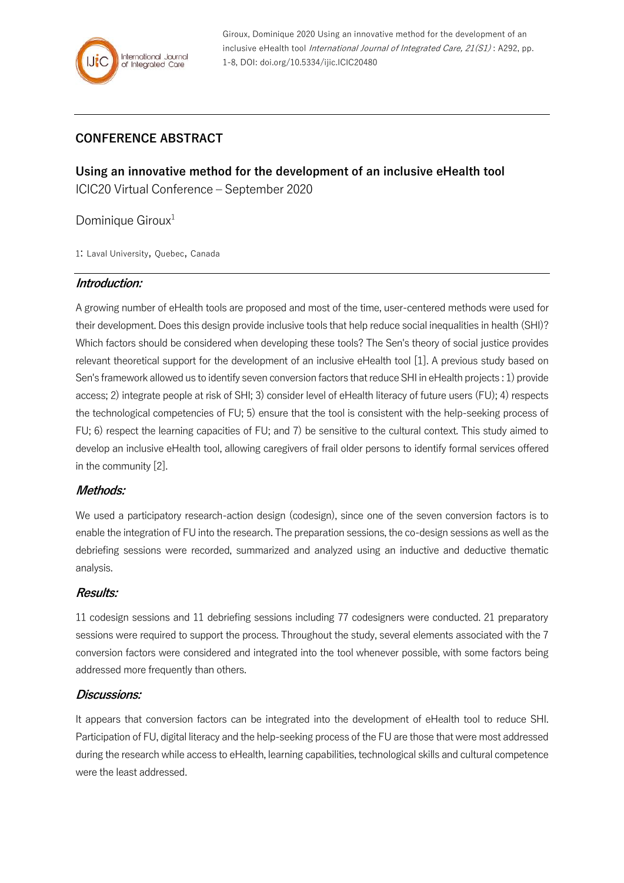

Giroux, Dominique 2020 Using an innovative method for the development of an inclusive eHealth tool International Journal of Integrated Care, 21(S1): A292, pp. 1-8, DOI: doi.org/10.5334/ijic.ICIC20480

# **CONFERENCE ABSTRACT**

**Using an innovative method for the development of an inclusive eHealth tool** ICIC20 Virtual Conference – September 2020

Dominique Giroux<sup>1</sup>

1: Laval University, Quebec, Canada

### **Introduction:**

A growing number of eHealth tools are proposed and most of the time, user-centered methods were used for their development. Does this design provide inclusive tools that help reduce social inequalities in health (SHI)? Which factors should be considered when developing these tools? The Sen's theory of social justice provides relevant theoretical support for the development of an inclusive eHealth tool [1]. A previous study based on Sen's framework allowed us to identify seven conversion factors that reduce SHI in eHealth projects : 1) provide access; 2) integrate people at risk of SHI; 3) consider level of eHealth literacy of future users (FU); 4) respects the technological competencies of FU; 5) ensure that the tool is consistent with the help-seeking process of FU; 6) respect the learning capacities of FU; and 7) be sensitive to the cultural context. This study aimed to develop an inclusive eHealth tool, allowing caregivers of frail older persons to identify formal services offered in the community [2].

### **Methods:**

We used a participatory research-action design (codesign), since one of the seven conversion factors is to enable the integration of FU into the research. The preparation sessions, the co-design sessions as well as the debriefing sessions were recorded, summarized and analyzed using an inductive and deductive thematic analysis.

#### **Results:**

11 codesign sessions and 11 debriefing sessions including 77 codesigners were conducted. 21 preparatory sessions were required to support the process. Throughout the study, several elements associated with the 7 conversion factors were considered and integrated into the tool whenever possible, with some factors being addressed more frequently than others.

### **Discussions:**

It appears that conversion factors can be integrated into the development of eHealth tool to reduce SHI. Participation of FU, digital literacy and the help-seeking process of the FU are those that were most addressed during the research while access to eHealth, learning capabilities, technological skills and cultural competence were the least addressed.